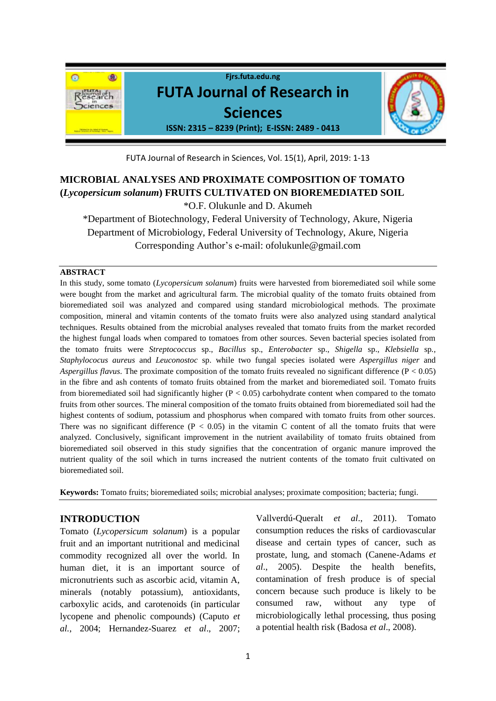

FUTA Journal of Research in Sciences, Vol. 15(1), April, 2019: 1-13

# **MICROBIAL ANALYSES AND PROXIMATE COMPOSITION OF TOMATO (***Lycopersicum solanum***) FRUITS CULTIVATED ON BIOREMEDIATED SOIL**

\*O.F. Olukunle and D. Akumeh

\*Department of Biotechnology, Federal University of Technology, Akure, Nigeria Department of Microbiology, Federal University of Technology, Akure, Nigeria Corresponding Author's e-mail: ofolukunle@gmail.com

# **ABSTRACT**

In this study, some tomato (*Lycopersicum solanum*) fruits were harvested from bioremediated soil while some were bought from the market and agricultural farm. The microbial quality of the tomato fruits obtained from bioremediated soil was analyzed and compared using standard microbiological methods. The proximate composition, mineral and vitamin contents of the tomato fruits were also analyzed using standard analytical techniques. Results obtained from the microbial analyses revealed that tomato fruits from the market recorded the highest fungal loads when compared to tomatoes from other sources. Seven bacterial species isolated from the tomato fruits were *Streptococcus* sp., *Bacillus* sp., *Enterobacter* sp., *Shigella* sp., *Klebsiella* sp*., Staphylococus aureus* and *Leuconostoc* sp. while two fungal species isolated were *Aspergillus niger* and *Aspergillus flavus*. The proximate composition of the tomato fruits revealed no significant difference (P < 0.05) in the fibre and ash contents of tomato fruits obtained from the market and bioremediated soil. Tomato fruits from bioremediated soil had significantly higher  $(P < 0.05)$  carbohydrate content when compared to the tomato fruits from other sources. The mineral composition of the tomato fruits obtained from bioremediated soil had the highest contents of sodium, potassium and phosphorus when compared with tomato fruits from other sources. There was no significant difference ( $P < 0.05$ ) in the vitamin C content of all the tomato fruits that were analyzed. Conclusively, significant improvement in the nutrient availability of tomato fruits obtained from bioremediated soil observed in this study signifies that the concentration of organic manure improved the nutrient quality of the soil which in turns increased the nutrient contents of the tomato fruit cultivated on bioremediated soil.

**Keywords:** Tomato fruits; bioremediated soils; microbial analyses; proximate composition; bacteria; fungi.

# **INTRODUCTION**

Tomato (*Lycopersicum solanum*) is a popular fruit and an important nutritional and medicinal commodity recognized all over the world. In human diet, it is an important source of micronutrients such as ascorbic acid, vitamin A, minerals (notably potassium), antioxidants, carboxylic acids, and carotenoids (in particular lycopene and phenolic compounds) (Caputo *et al.*, 2004; Hernandez-Suarez *et al*., 2007;

Vallverdú-Queralt *et al*., 2011). Tomato consumption reduces the risks of cardiovascular disease and certain types of cancer, such as prostate, lung, and stomach (Canene-Adams *et al*., 2005). Despite the health benefits, contamination of fresh produce is of special concern because such produce is likely to be consumed raw, without any type of microbiologically lethal processing, thus posing a potential health risk (Badosa *et al*., 2008).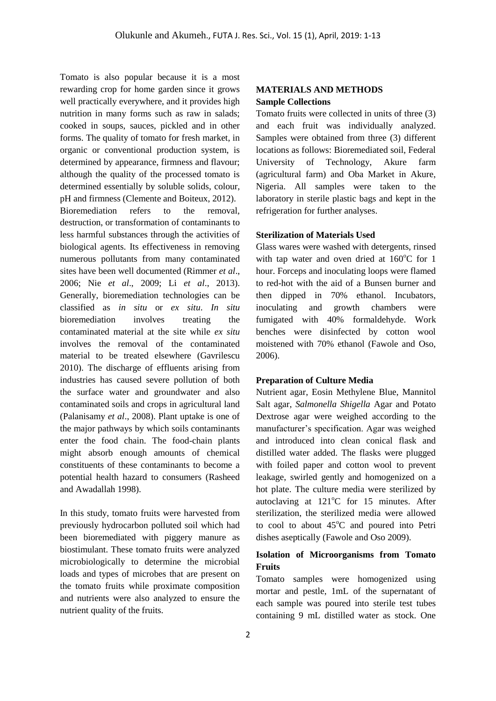Tomato is also popular because it is a most rewarding crop for home garden since it grows well practically everywhere, and it provides high nutrition in many forms such as raw in salads; cooked in soups, sauces, pickled and in other forms. The quality of tomato for fresh market, in organic or conventional production system, is determined by appearance, firmness and flavour; although the quality of the processed tomato is determined essentially by soluble solids, colour, pH and firmness (Clemente and Boiteux, 2012). Bioremediation refers to the removal, destruction, or transformation of contaminants to less harmful substances through the activities of biological agents. Its effectiveness in removing numerous pollutants from many contaminated sites have been well documented (Rimmer *et al*., 2006; Nie *et al*., 2009; Li *et al*., 2013). Generally, bioremediation technologies can be classified as *in situ* or *ex situ*. *In situ* bioremediation involves treating the contaminated material at the site while *ex situ* involves the removal of the contaminated material to be treated elsewhere (Gavrilescu 2010). The discharge of effluents arising from industries has caused severe pollution of both the surface water and groundwater and also contaminated soils and crops in agricultural land (Palanisamy *et al*., 2008). Plant uptake is one of the major pathways by which soils contaminants enter the food chain. The food-chain plants might absorb enough amounts of chemical constituents of these contaminants to become a potential health hazard to consumers (Rasheed and Awadallah 1998).

In this study, tomato fruits were harvested from previously hydrocarbon polluted soil which had been bioremediated with piggery manure as biostimulant. These tomato fruits were analyzed microbiologically to determine the microbial loads and types of microbes that are present on the tomato fruits while proximate composition and nutrients were also analyzed to ensure the nutrient quality of the fruits.

# **MATERIALS AND METHODS Sample Collections**

Tomato fruits were collected in units of three (3) and each fruit was individually analyzed. Samples were obtained from three (3) different locations as follows: Bioremediated soil, Federal University of Technology, Akure farm (agricultural farm) and Oba Market in Akure, Nigeria. All samples were taken to the laboratory in sterile plastic bags and kept in the refrigeration for further analyses.

#### **Sterilization of Materials Used**

Glass wares were washed with detergents, rinsed with tap water and oven dried at  $160^{\circ}$ C for 1 hour. Forceps and inoculating loops were flamed to red-hot with the aid of a Bunsen burner and then dipped in 70% ethanol. Incubators, inoculating and growth chambers were fumigated with 40% formaldehyde. Work benches were disinfected by cotton wool moistened with 70% ethanol (Fawole and Oso, 2006).

## **Preparation of Culture Media**

Nutrient agar, Eosin Methylene Blue, Mannitol Salt agar, *Salmonella Shigella* Agar and Potato Dextrose agar were weighed according to the manufacturer's specification. Agar was weighed and introduced into clean conical flask and distilled water added. The flasks were plugged with foiled paper and cotton wool to prevent leakage, swirled gently and homogenized on a hot plate. The culture media were sterilized by autoclaving at  $121^{\circ}$ C for 15 minutes. After sterilization, the sterilized media were allowed to cool to about  $45^{\circ}$ C and poured into Petri dishes aseptically (Fawole and Oso 2009).

# **Isolation of Microorganisms from Tomato Fruits**

Tomato samples were homogenized using mortar and pestle, 1mL of the supernatant of each sample was poured into sterile test tubes containing 9 mL distilled water as stock. One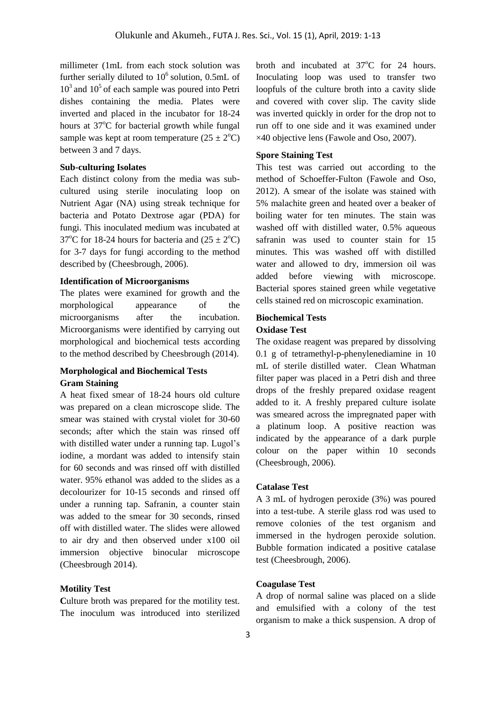millimeter (1mL from each stock solution was further serially diluted to  $10^6$  solution, 0.5mL of  $10<sup>3</sup>$  and  $10<sup>5</sup>$  of each sample was poured into Petri dishes containing the media. Plates were inverted and placed in the incubator for 18-24 hours at  $37^{\circ}$ C for bacterial growth while fungal sample was kept at room temperature  $(25 \pm 2^{\circ}C)$ between 3 and 7 days.

#### **Sub-culturing Isolates**

Each distinct colony from the media was subcultured using sterile inoculating loop on Nutrient Agar (NA) using streak technique for bacteria and Potato Dextrose agar (PDA) for fungi. This inoculated medium was incubated at 37<sup>o</sup>C for 18-24 hours for bacteria and  $(25 \pm 2$ <sup>o</sup>C) for 3-7 days for fungi according to the method described by (Cheesbrough, 2006).

#### **Identification of Microorganisms**

The plates were examined for growth and the morphological appearance of the microorganisms after the incubation. Microorganisms were identified by carrying out morphological and biochemical tests according to the method described by Cheesbrough (2014).

# **Morphological and Biochemical Tests Gram Staining**

A heat fixed smear of 18-24 hours old culture was prepared on a clean microscope slide. The smear was stained with crystal violet for 30-60 seconds; after which the stain was rinsed off with distilled water under a running tap. Lugol's iodine, a mordant was added to intensify stain for 60 seconds and was rinsed off with distilled water. 95% ethanol was added to the slides as a decolourizer for 10-15 seconds and rinsed off under a running tap. Safranin, a counter stain was added to the smear for 30 seconds, rinsed off with distilled water. The slides were allowed to air dry and then observed under x100 oil immersion objective binocular microscope (Cheesbrough 2014).

#### **Motility Test**

Culture broth was prepared for the motility test. The inoculum was introduced into sterilized broth and incubated at  $37^{\circ}$ C for 24 hours. Inoculating loop was used to transfer two loopfuls of the culture broth into a cavity slide and covered with cover slip. The cavity slide was inverted quickly in order for the drop not to run off to one side and it was examined under ×40 objective lens (Fawole and Oso, 2007).

#### **Spore Staining Test**

This test was carried out according to the method of Schoeffer-Fulton (Fawole and Oso, 2012). A smear of the isolate was stained with 5% malachite green and heated over a beaker of boiling water for ten minutes. The stain was washed off with distilled water, 0.5% aqueous safranin was used to counter stain for 15 minutes. This was washed off with distilled water and allowed to dry, immersion oil was added before viewing with microscope. Bacterial spores stained green while vegetative cells stained red on microscopic examination.

# **Biochemical Tests**

# **Oxidase Test**

The oxidase reagent was prepared by dissolving 0.1 g of tetramethyl-p-phenylenediamine in 10 mL of sterile distilled water. Clean Whatman filter paper was placed in a Petri dish and three drops of the freshly prepared oxidase reagent added to it. A freshly prepared culture isolate was smeared across the impregnated paper with a platinum loop. A positive reaction was indicated by the appearance of a dark purple colour on the paper within 10 seconds (Cheesbrough, 2006).

## **Catalase Test**

A 3 mL of hydrogen peroxide (3%) was poured into a test-tube. A sterile glass rod was used to remove colonies of the test organism and immersed in the hydrogen peroxide solution. Bubble formation indicated a positive catalase test (Cheesbrough, 2006).

#### **Coagulase Test**

A drop of normal saline was placed on a slide and emulsified with a colony of the test organism to make a thick suspension. A drop of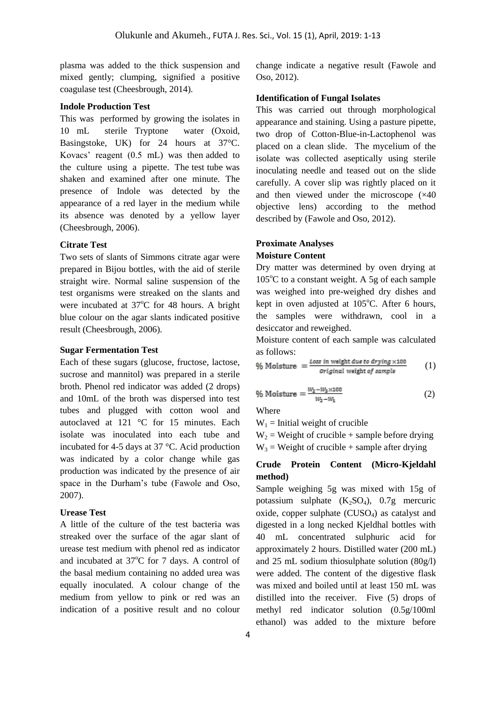plasma was added to the thick suspension and mixed gently; clumping, signified a positive coagulase test (Cheesbrough, 2014).

#### **Indole Production Test**

This was performed by growing the isolates in 10 mL sterile Tryptone water (Oxoid, Basingstoke, UK) for 24 hours at 37°C. Kovacs' reagent (0.5 mL) was then added to the culture using a pipette. The test tube was shaken and examined after one minute. The presence of Indole was detected by the appearance of a red layer in the medium while its absence was denoted by a yellow layer (Cheesbrough, 2006).

### **Citrate Test**

Two sets of slants of Simmons citrate agar were prepared in Bijou bottles, with the aid of sterile straight wire. Normal saline suspension of the test organisms were streaked on the slants and were incubated at  $37^{\circ}$ C for 48 hours. A bright blue colour on the agar slants indicated positive result (Cheesbrough, 2006).

#### **Sugar Fermentation Test**

Each of these sugars (glucose, fructose, lactose, sucrose and mannitol) was prepared in a sterile broth. Phenol red indicator was added (2 drops) and 10mL of the broth was dispersed into test tubes and plugged with cotton wool and autoclaved at 121 °C for 15 minutes. Each isolate was inoculated into each tube and incubated for 4-5 days at 37 °C. Acid production was indicated by a color change while gas production was indicated by the presence of air space in the Durham's tube (Fawole and Oso, 2007).

#### **Urease Test**

A little of the culture of the test bacteria was streaked over the surface of the agar slant of urease test medium with phenol red as indicator and incubated at  $37^{\circ}$ C for 7 days. A control of the basal medium containing no added urea was equally inoculated. A colour change of the medium from yellow to pink or red was an indication of a positive result and no colour

change indicate a negative result (Fawole and Oso, 2012).

#### **Identification of Fungal Isolates**

This was carried out through morphological appearance and staining. Using a pasture pipette, two drop of Cotton-Blue-in-Lactophenol was placed on a clean slide. The mycelium of the isolate was collected aseptically using sterile inoculating needle and teased out on the slide carefully. A cover slip was rightly placed on it and then viewed under the microscope  $(x40)$ objective lens) according to the method described by (Fawole and Oso, 2012).

# **Proximate Analyses**

# **Moisture Content**

Dry matter was determined by oven drying at  $105^{\circ}$ C to a constant weight. A 5g of each sample was weighed into pre-weighed dry dishes and kept in oven adjusted at  $105^{\circ}$ C. After 6 hours, the samples were withdrawn, cool in a desiccator and reweighed.

Moisture content of each sample was calculated as follows:

$$
\% \text{ Moisture } = \frac{\text{Loss in weight due to drying} \times 100}{\text{Original weight of sample}} \qquad (1)
$$

$$
\% \text{ Moisture} = \frac{W_2 - W_3 \times 100}{W_2 - W_1} \tag{2}
$$

Where

 $W_1$  = Initial weight of crucible

 $W_2$  = Weight of crucible + sample before drying  $W_3$  = Weight of crucible + sample after drying

# **Crude Protein Content (Micro-Kjeldahl method)**

Sample weighing 5g was mixed with 15g of potassium sulphate  $(K_2SO_4)$ , 0.7g mercuric oxide, copper sulphate (CUSO<sub>4</sub>) as catalyst and digested in a long necked Kjeldhal bottles with 40 mL concentrated sulphuric acid for approximately 2 hours. Distilled water (200 mL) and 25 mL sodium thiosulphate solution (80g/l) were added. The content of the digestive flask was mixed and boiled until at least 150 mL was distilled into the receiver. Five (5) drops of methyl red indicator solution (0.5g/100ml ethanol) was added to the mixture before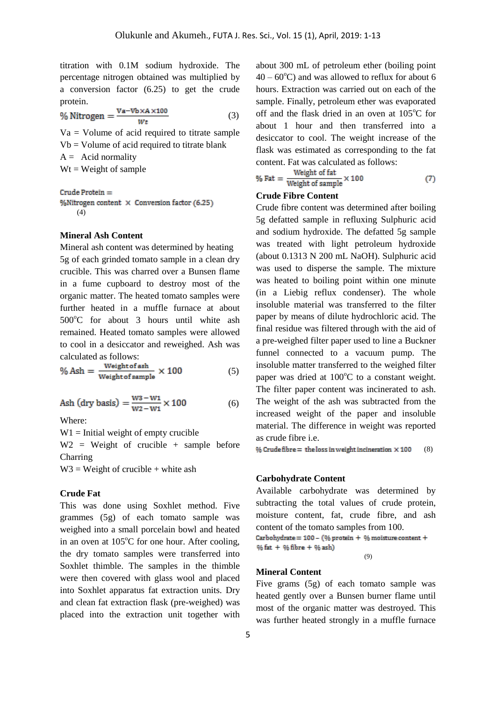titration with 0.1M sodium hydroxide. The percentage nitrogen obtained was multiplied by a conversion factor (6.25) to get the crude protein.

% Nitrogen = 
$$
\frac{Va - Vb \times A \times 100}{Wt}
$$
 (3)

 $Va = Volume of acid required to titrate sample$  $Vb = Volume of acid required to titrate blank$  $A =$  Acid normality  $Wt = Weight of sample$ 

Crude Protein  $=$ % Nitrogen content  $\times$  Conversion factor (6.25) (4)

#### **Mineral Ash Content**

Mineral ash content was determined by heating 5g of each grinded tomato sample in a clean dry crucible. This was charred over a Bunsen flame in a fume cupboard to destroy most of the organic matter. The heated tomato samples were further heated in a muffle furnace at about  $500^{\circ}$ C for about 3 hours until white ash remained. Heated tomato samples were allowed to cool in a desiccator and reweighed. Ash was

calculated as follows:  
\n
$$
\% \text{ Ash} = \frac{\text{Weight of ash}}{\text{Weight of sample}} \times 100
$$
\n(5)

Ash (dry basis) =  $\frac{W3-W1}{W2-W1} \times 100$ (6)

Where:

 $W1 =$  Initial weight of empty crucible

 $W2 = Weight of crucible + sample before$ Charring

 $W3 = Weight of crucible + white ash$ 

#### **Crude Fat**

This was done using Soxhlet method. Five grammes (5g) of each tomato sample was weighed into a small porcelain bowl and heated in an oven at  $105^{\circ}$ C for one hour. After cooling, the dry tomato samples were transferred into Soxhlet thimble. The samples in the thimble were then covered with glass wool and placed into Soxhlet apparatus fat extraction units. Dry and clean fat extraction flask (pre-weighed) was placed into the extraction unit together with

about 300 mL of petroleum ether (boiling point  $40 - 60^{\circ}$ C) and was allowed to reflux for about 6 hours. Extraction was carried out on each of the sample. Finally, petroleum ether was evaporated off and the flask dried in an oven at  $105^{\circ}$ C for about 1 hour and then transferred into a desiccator to cool. The weight increase of the flask was estimated as corresponding to the fat content. Fat was calculated as follows:

% Fat = 
$$
\frac{\text{Weight of fat}}{\text{Weight of sample}} \times 100
$$
 (7)

## **Crude Fibre Content**

Crude fibre content was determined after boiling 5g defatted sample in refluxing Sulphuric acid and sodium hydroxide. The defatted 5g sample was treated with light petroleum hydroxide (about 0.1313 N 200 mL NaOH). Sulphuric acid was used to disperse the sample. The mixture was heated to boiling point within one minute (in a Liebig reflux condenser). The whole insoluble material was transferred to the filter paper by means of dilute hydrochloric acid. The final residue was filtered through with the aid of a pre-weighed filter paper used to line a Buckner funnel connected to a vacuum pump. The insoluble matter transferred to the weighed filter paper was dried at  $100^{\circ}$ C to a constant weight. The filter paper content was incinerated to ash. The weight of the ash was subtracted from the increased weight of the paper and insoluble material. The difference in weight was reported as crude fibre i.e.

% Crude fibre = the loss in weight incineration  $\times$  100 (8)

#### **Carbohydrate Content**

Available carbohydrate was determined by subtracting the total values of crude protein, moisture content, fat, crude fibre, and ash content of the tomato samples from 100. Carbohydrate =  $100 - (%$  protein + % moisture content +  $%$  fat +  $%$  fibre +  $%$  ash) (9)

#### **Mineral Content**

Five grams (5g) of each tomato sample was heated gently over a Bunsen burner flame until most of the organic matter was destroyed. This was further heated strongly in a muffle furnace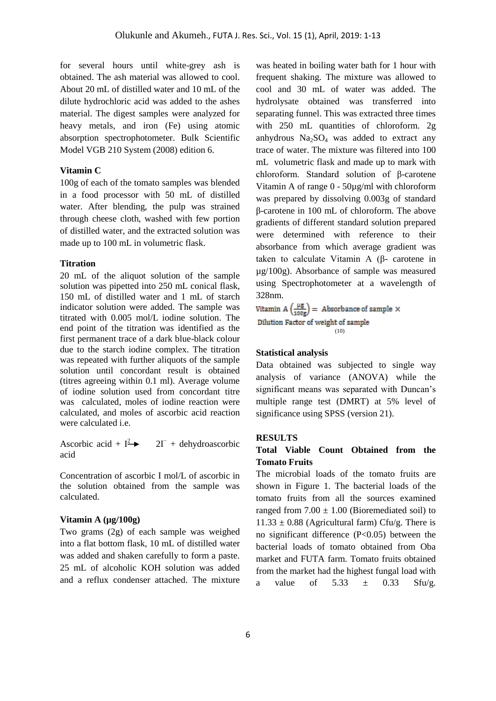for several hours until white-grey ash is obtained. The ash material was allowed to cool. About 20 mL of distilled water and 10 mL of the dilute hydrochloric acid was added to the ashes material. The digest samples were analyzed for heavy metals, and iron (Fe) using atomic absorption spectrophotometer. Bulk Scientific Model VGB 210 System (2008) edition 6.

#### **Vitamin C**

100g of each of the tomato samples was blended in a food processor with 50 mL of distilled water. After blending, the pulp was strained through cheese cloth, washed with few portion of distilled water, and the extracted solution was made up to 100 mL in volumetric flask.

#### **Titration**

20 mL of the aliquot solution of the sample solution was pipetted into 250 mL conical flask, 150 mL of distilled water and 1 mL of starch indicator solution were added. The sample was titrated with 0.005 mol/L iodine solution. The end point of the titration was identified as the first permanent trace of a dark blue-black colour due to the starch iodine complex. The titration was repeated with further aliquots of the sample solution until concordant result is obtained (titres agreeing within 0.1 ml). Average volume of iodine solution used from concordant titre was calculated, moles of iodine reaction were calculated, and moles of ascorbic acid reaction were calculated i.e.

Ascorbic acid +  $I^2$   $\rightarrow$  2I  $2\Gamma$  + dehydroascorbic acid

Concentration of ascorbic I mol/L of ascorbic in the solution obtained from the sample was calculated.

#### **Vitamin A (µg/100g)**

Two grams (2g) of each sample was weighed into a flat bottom flask, 10 mL of distilled water was added and shaken carefully to form a paste. 25 mL of alcoholic KOH solution was added and a reflux condenser attached. The mixture

was heated in boiling water bath for 1 hour with frequent shaking. The mixture was allowed to cool and 30 mL of water was added. The hydrolysate obtained was transferred into separating funnel. This was extracted three times with 250 mL quantities of chloroform. 2g anhydrous  $Na<sub>2</sub>SO<sub>4</sub>$  was added to extract any trace of water. The mixture was filtered into 100 mL volumetric flask and made up to mark with chloroform. Standard solution of β-carotene Vitamin A of range 0 - 50µg/ml with chloroform was prepared by dissolving 0.003g of standard β-carotene in 100 mL of chloroform. The above gradients of different standard solution prepared were determined with reference to their absorbance from which average gradient was taken to calculate Vitamin A (β- carotene in µg/100g). Absorbance of sample was measured using Spectrophotometer at a wavelength of 328nm.

Vitamin A  $\left(\frac{\mu g}{100g}\right)$  = Absorbance of sample  $\times$ Dilution Factor of weight of sample (10)

#### **Statistical analysis**

Data obtained was subjected to single way analysis of variance (ANOVA) while the significant means was separated with Duncan's multiple range test (DMRT) at 5% level of significance using SPSS (version 21).

#### **RESULTS**

# **Total Viable Count Obtained from the Tomato Fruits**

The microbial loads of the tomato fruits are shown in Figure 1. The bacterial loads of the tomato fruits from all the sources examined ranged from  $7.00 \pm 1.00$  (Bioremediated soil) to  $11.33 \pm 0.88$  (Agricultural farm) Cfu/g. There is no significant difference (P<0.05) between the bacterial loads of tomato obtained from Oba market and FUTA farm. Tomato fruits obtained from the market had the highest fungal load with a value of  $5.33 \pm 0.33$  Sfu/g.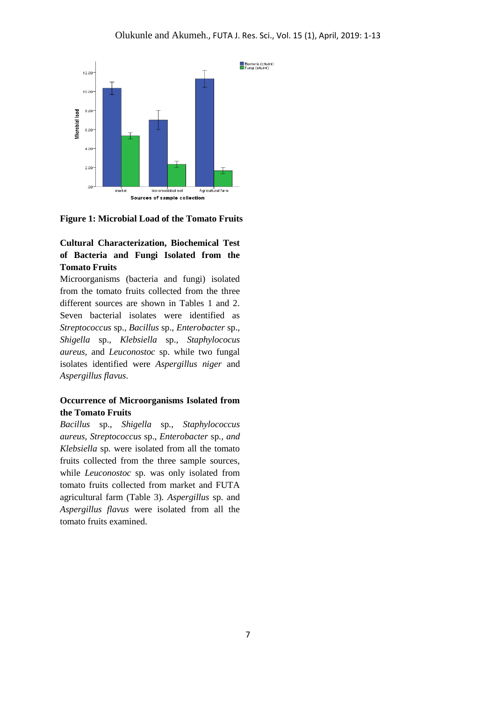

**Figure 1: Microbial Load of the Tomato Fruits** 

# **Cultural Characterization, Biochemical Test of Bacteria and Fungi Isolated from the Tomato Fruits**

Microorganisms (bacteria and fungi) isolated from the tomato fruits collected from the three different sources are shown in Tables 1 and 2. Seven bacterial isolates were identified as *Streptococcus* sp., *Bacillus* sp., *Enterobacter* sp., *Shigella* sp.*, Klebsiella* sp.*, Staphylococus aureus,* and *Leuconostoc* sp. while two fungal isolates identified were *Aspergillus niger* and *Aspergillus flavus*.

# **Occurrence of Microorganisms Isolated from the Tomato Fruits**

*Bacillus* sp., *Shigella* sp*.*, *Staphylococcus aureus*, *Streptococcus* sp., *Enterobacter* sp*.*, *and Klebsiella* sp*.* were isolated from all the tomato fruits collected from the three sample sources, while *Leuconostoc* sp*.* was only isolated from tomato fruits collected from market and FUTA agricultural farm (Table 3). *Aspergillus* sp. and *Aspergillus flavus* were isolated from all the tomato fruits examined.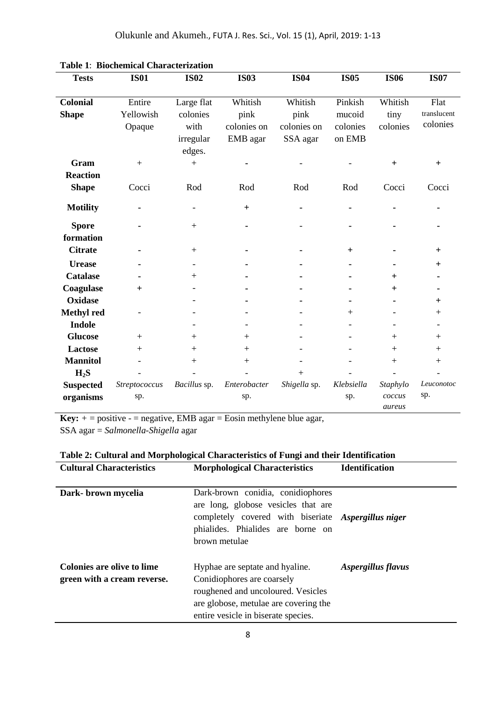| <b>Tests</b>      | <b>IS01</b>      | <b>IS02</b>              | <b>IS03</b>  | <b>IS04</b>  | <b>IS05</b> | <b>IS06</b> | <b>IS07</b> |
|-------------------|------------------|--------------------------|--------------|--------------|-------------|-------------|-------------|
|                   |                  |                          |              |              |             |             |             |
| <b>Colonial</b>   | Entire           | Large flat               | Whitish      | Whitish      | Pinkish     | Whitish     | Flat        |
| <b>Shape</b>      | Yellowish        | colonies                 | pink         | pink         | mucoid      | tiny        | translucent |
|                   | Opaque           | with                     | colonies on  | colonies on  | colonies    | colonies    | colonies    |
|                   |                  | irregular                | EMB agar     | SSA agar     | on EMB      |             |             |
|                   |                  | edges.                   |              |              |             |             |             |
| Gram              | $\boldsymbol{+}$ | $+$                      |              |              |             | $+$         | $+$         |
| <b>Reaction</b>   |                  |                          |              |              |             |             |             |
| <b>Shape</b>      | Cocci            | Rod                      | Rod          | Rod          | Rod         | Cocci       | Cocci       |
|                   |                  |                          |              |              |             |             |             |
| <b>Motility</b>   |                  | $\qquad \qquad -$        | $\ddot{}$    |              |             |             |             |
| <b>Spore</b>      |                  | $+$                      |              |              |             |             |             |
| formation         |                  |                          |              |              |             |             |             |
| <b>Citrate</b>    |                  | $+$                      |              |              | $+$         |             | $+$         |
| <b>Urease</b>     |                  | $\overline{\phantom{a}}$ |              |              | ۰           |             | $+$         |
| <b>Catalase</b>   |                  | $+$                      |              |              |             | $^{+}$      |             |
| Coagulase         | $+$              |                          |              |              |             | $^{+}$      |             |
| <b>Oxidase</b>    |                  |                          |              |              |             |             | $+$         |
| <b>Methyl red</b> |                  |                          |              |              | $^{+}$      |             | $+$         |
| <b>Indole</b>     |                  |                          |              |              |             |             |             |
| <b>Glucose</b>    | $+$              | $+$                      | $+$          |              |             | $^{+}$      | $+$         |
| <b>Lactose</b>    | $+$              | $+$                      | $+$          |              |             | $^{+}$      | $+$         |
| <b>Mannitol</b>   |                  | $+$                      | $+$          |              |             | $+$         | $+$         |
| $H_2S$            |                  |                          |              | $+$          |             |             |             |
| <b>Suspected</b>  | Streptococcus    | Bacillus sp.             | Enterobacter | Shigella sp. | Klebsiella  | Staphylo    | Leuconotoc  |
| organisms         | sp.              |                          | sp.          |              | sp.         | coccus      | sp.         |
|                   |                  |                          |              |              |             | aureus      |             |

**Key:**  $+$  = positive - = negative, EMB agar = Eosin methylene blue agar, SSA agar = *Salmonella-Shigella* agar

| <b>Cultural Characteristics</b>                           | <b>Morphological Characteristics</b>                                                                                                                                                  | <b>Identification</b> |  |
|-----------------------------------------------------------|---------------------------------------------------------------------------------------------------------------------------------------------------------------------------------------|-----------------------|--|
| Dark- brown mycelia                                       | Dark-brown conidia, conidiophores<br>are long, globose vesicles that are<br>completely covered with biseriate Aspergillus niger<br>phialides. Phialides are borne on<br>brown metulae |                       |  |
| Colonies are olive to lime<br>green with a cream reverse. | Hyphae are septate and hyaline.<br>Conidiophores are coarsely<br>roughened and uncoloured. Vesicles<br>are globose, metulae are covering the<br>entire vesicle in biserate species.   | Aspergillus flavus    |  |

# **Table 2: Cultural and Morphological Characteristics of Fungi and their Identification**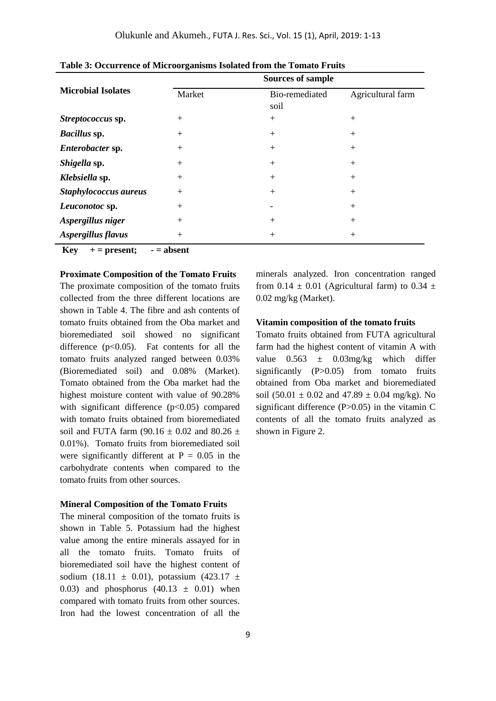|                           | <b>Sources of sample</b> |                        |                   |  |  |  |
|---------------------------|--------------------------|------------------------|-------------------|--|--|--|
| <b>Microbial Isolates</b> | Market                   | Bio-remediated<br>soil | Agricultural farm |  |  |  |
| Streptococcus sp.         | $+$                      | $+$                    | $^{+}$            |  |  |  |
| Bacillus sp.              | $+$                      | $+$                    | $^{+}$            |  |  |  |
| Enterobacter sp.          | $+$                      | $+$                    | $^{+}$            |  |  |  |
| Shigella sp.              | $+$                      | $+$                    | $+$               |  |  |  |
| Klebsiella sp.            | $+$                      | $+$                    | $+$               |  |  |  |
| Staphylococcus aureus     | $+$                      | $+$                    | $+$               |  |  |  |
| Leuconotoc sp.            | $+$                      |                        | $+$               |  |  |  |
| Aspergillus niger         | $+$                      | $+$                    | $+$               |  |  |  |
| Aspergillus flavus        | $+$                      | $+$                    | $^{+}$            |  |  |  |

**Table 3: Occurrence of Microorganisms Isolated from the Tomato Fruits**

 $Key + = present; - = absent$ 

#### **Proximate Composition of the Tomato Fruits**

The proximate composition of the tomato fruits collected from the three different locations are shown in Table 4. The fibre and ash contents of tomato fruits obtained from the Oba market and bioremediated soil showed no significant difference  $(p<0.05)$ . Fat contents for all the tomato fruits analyzed ranged between 0.03% (Bioremediated soil) and 0.08% (Market). Tomato obtained from the Oba market had the highest moisture content with value of 90.28% with significant difference  $(p<0.05)$  compared with tomato fruits obtained from bioremediated soil and FUTA farm (90.16  $\pm$  0.02 and 80.26  $\pm$ 0.01%). Tomato fruits from bioremediated soil were significantly different at  $P = 0.05$  in the carbohydrate contents when compared to the tomato fruits from other sources.

#### **Mineral Composition of the Tomato Fruits**

The mineral composition of the tomato fruits is shown in Table 5. Potassium had the highest value among the entire minerals assayed for in all the tomato fruits. Tomato fruits of bioremediated soil have the highest content of sodium (18.11  $\pm$  0.01), potassium (423.17  $\pm$ 0.03) and phosphorus  $(40.13 \pm 0.01)$  when compared with tomato fruits from other sources. Iron had the lowest concentration of all the

minerals analyzed. Iron concentration ranged from 0.14  $\pm$  0.01 (Agricultural farm) to 0.34  $\pm$ 0.02 mg/kg (Market).

### **Vitamin composition of the tomato fruits**

Tomato fruits obtained from FUTA agricultural farm had the highest content of vitamin A with value  $0.563 \pm 0.03$  mg/kg which differ significantly (P>0.05) from tomato fruits obtained from Oba market and bioremediated soil (50.01  $\pm$  0.02 and 47.89  $\pm$  0.04 mg/kg). No significant difference  $(P>0.05)$  in the vitamin C contents of all the tomato fruits analyzed as shown in Figure 2.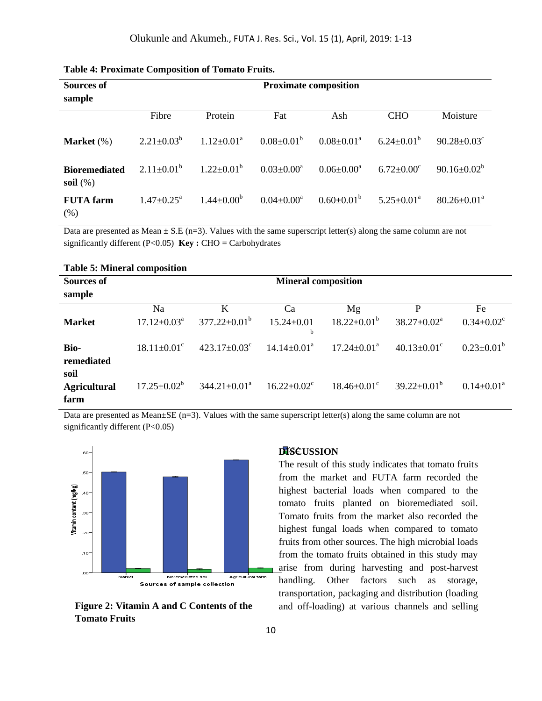| <b>Sources of</b><br>sample         | <b>Proximate composition</b> |                            |                   |                   |                              |                               |
|-------------------------------------|------------------------------|----------------------------|-------------------|-------------------|------------------------------|-------------------------------|
|                                     | Fibre                        | Protein                    | Fat               | Ash               | <b>CHO</b>                   | Moisture                      |
| Market $(\%)$                       | $2.21 \pm 0.03^b$            | $1.12 \pm 0.01^{\text{a}}$ | $0.08 \pm 0.01^b$ | $0.08 \pm 0.01^a$ | $6.24 \pm 0.01^{\rm b}$      | $90.28 \pm 0.03$ <sup>c</sup> |
| <b>Bioremediated</b><br>soil $(\%)$ | $2.11 \pm 0.01^b$            | $1.22 \pm 0.01^{\rm b}$    | $0.03 \pm 0.00^a$ | $0.06 \pm 0.00^a$ | $6.72 \pm 0.00$ <sup>c</sup> | $90.16 \pm 0.02^b$            |
| <b>FUTA</b> farm<br>(% )            | $1.47 \pm 0.25^{\text{a}}$   | $1.44 \pm 0.00^b$          | $0.04 \pm 0.00^a$ | $0.60 \pm 0.01^b$ | $5.25 \pm 0.01^{\text{a}}$   | $80.26 \pm 0.01^a$            |

| <b>Table 4: Proximate Composition of Tomato Fruits.</b> |  |  |
|---------------------------------------------------------|--|--|
|---------------------------------------------------------|--|--|

Data are presented as Mean  $\pm$  S.E (n=3). Values with the same superscript letter(s) along the same column are not significantly different (P<0.05) **Key :** CHO = Carbohydrates

| <b>Table 5: Mineral composition</b> |                               |                                |                               |                               |                               |                              |
|-------------------------------------|-------------------------------|--------------------------------|-------------------------------|-------------------------------|-------------------------------|------------------------------|
| <b>Sources of</b>                   |                               | <b>Mineral composition</b>     |                               |                               |                               |                              |
| sample                              |                               |                                |                               |                               |                               |                              |
|                                     | Na                            | K                              | Ca                            | Mg                            | P                             | Fe                           |
| <b>Market</b>                       | $17.12 \pm 0.03^{\text{a}}$   | $377.22 \pm 0.01^{\rm b}$      | $15.24 \pm 0.01$<br>b         | $18.22 \pm 0.01^{\rm b}$      | $38.27 \pm 0.02^a$            | $0.34 \pm 0.02$ <sup>c</sup> |
| <b>Bio-</b><br>remediated           | $18.11 \pm 0.01$ <sup>c</sup> | $423.17 \pm 0.03$ <sup>c</sup> | $14.14 \pm 0.01^{\text{a}}$   | $17.24 \pm 0.01^{\text{a}}$   | $40.13 \pm 0.01$ <sup>c</sup> | $0.23 \pm 0.01^b$            |
| soil<br><b>Agricultural</b><br>farm | $17.25 \pm 0.02^b$            | $344.21 \pm 0.01^a$            | $16.22 \pm 0.02$ <sup>c</sup> | $18.46 \pm 0.01$ <sup>c</sup> | $39.22 \pm 0.01^b$            | $0.14 \pm 0.01^{\text{a}}$   |

Data are presented as Mean±SE (n=3). Values with the same superscript letter(s) along the same column are not significantly different (P<0.05)



**Figure 2: Vitamin A and C Contents of the Tomato Fruits**

# **DISCUSSION**

The result of this study indicates that tomato fruits from the market and FUTA farm recorded the highest bacterial loads when compared to the tomato fruits planted on bioremediated soil. Tomato fruits from the market also recorded the highest fungal loads when compared to tomato fruits from other sources. The high microbial loads from the tomato fruits obtained in this study may arise from during harvesting and post-harvest handling. Other factors such as storage, transportation, packaging and distribution (loading and off-loading) at various channels and selling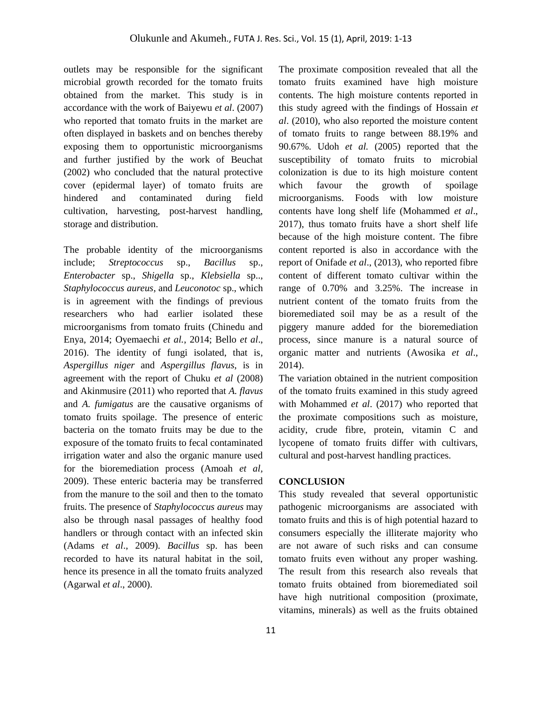outlets may be responsible for the significant microbial growth recorded for the tomato fruits obtained from the market. This study is in accordance with the work of Baiyewu *et al*. (2007) who reported that tomato fruits in the market are often displayed in baskets and on benches thereby exposing them to opportunistic microorganisms and further justified by the work of Beuchat (2002) who concluded that the natural protective cover (epidermal layer) of tomato fruits are hindered and contaminated during field cultivation, harvesting, post-harvest handling, storage and distribution.

The probable identity of the microorganisms include; *Streptococcus* sp., *Bacillus* sp., *Enterobacter* sp., *Shigella* sp., *Klebsiella* sp.., *Staphylococcus aureus*, and *Leuconotoc* sp., which is in agreement with the findings of previous researchers who had earlier isolated these microorganisms from tomato fruits (Chinedu and Enya, 2014; Oyemaechi *et al.*, 2014; Bello *et al*., 2016). The identity of fungi isolated, that is, *Aspergillus niger* and *Aspergillus flavus*, is in agreement with the report of Chuku *et al* (2008) and Akinmusire (2011) who reported that *A. flavus*  and *A. fumigatus* are the causative organisms of tomato fruits spoilage. The presence of enteric bacteria on the tomato fruits may be due to the exposure of the tomato fruits to fecal contaminated irrigation water and also the organic manure used for the bioremediation process (Amoah *et al,*  2009). These enteric bacteria may be transferred from the manure to the soil and then to the tomato fruits. The presence of *Staphylococcus aureus* may also be through nasal passages of healthy food handlers or through contact with an infected skin (Adams *et al*., 2009). *Bacillus* sp. has been recorded to have its natural habitat in the soil, hence its presence in all the tomato fruits analyzed (Agarwal *et al*., 2000).

The proximate composition revealed that all the tomato fruits examined have high moisture contents. The high moisture contents reported in this study agreed with the findings of Hossain *et al*. (2010), who also reported the moisture content of tomato fruits to range between 88.19% and 90.67%. Udoh *et al.* (2005) reported that the susceptibility of tomato fruits to microbial colonization is due to its high moisture content which favour the growth of spoilage microorganisms. Foods with low moisture contents have long shelf life (Mohammed *et al*., 2017), thus tomato fruits have a short shelf life because of the high moisture content. The fibre content reported is also in accordance with the report of Onifade *et al*., (2013), who reported fibre content of different tomato cultivar within the range of 0.70% and 3.25%. The increase in nutrient content of the tomato fruits from the bioremediated soil may be as a result of the piggery manure added for the bioremediation process, since manure is a natural source of organic matter and nutrients (Awosika *et al*., 2014).

The variation obtained in the nutrient composition of the tomato fruits examined in this study agreed with Mohammed *et al*. (2017) who reported that the proximate compositions such as moisture, acidity, crude fibre, protein, vitamin C and lycopene of tomato fruits differ with cultivars, cultural and post-harvest handling practices.

#### **CONCLUSION**

This study revealed that several opportunistic pathogenic microorganisms are associated with tomato fruits and this is of high potential hazard to consumers especially the illiterate majority who are not aware of such risks and can consume tomato fruits even without any proper washing. The result from this research also reveals that tomato fruits obtained from bioremediated soil have high nutritional composition (proximate, vitamins, minerals) as well as the fruits obtained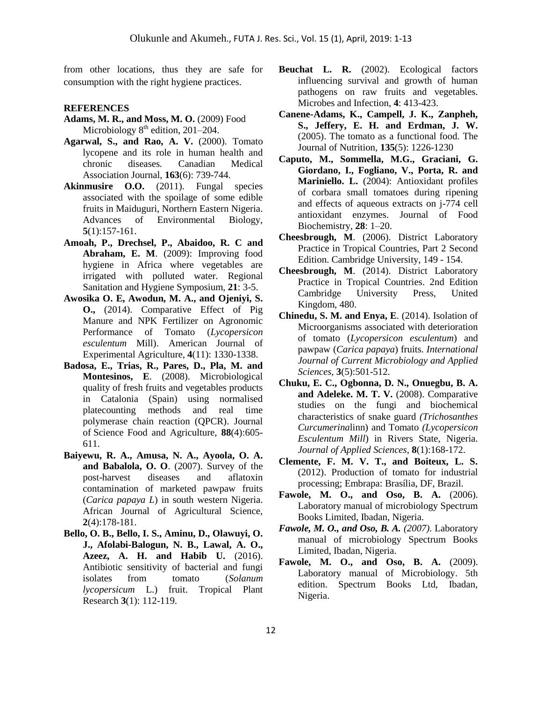from other locations, thus they are safe for consumption with the right hygiene practices.

#### **REFERENCES**

- **Adams, M. R., and Moss, M. O.** (2009) Food Microbiology  $8<sup>th</sup>$  edition, 201–204.
- **Agarwal, S., and Rao, A. V.** (2000). Tomato lycopene and its role in human health and chronic diseases*.* Canadian Medical Association Journal, **163**(6): 739-744.
- **Akinmusire O.O.** (2011). Fungal species associated with the spoilage of some edible fruits in Maiduguri, Northern Eastern Nigeria. Advances of Environmental Biology, **5**(1):157-161.
- **Amoah, P., Drechsel, P., Abaidoo, R. C and Abraham, E. M**. (2009): Improving food hygiene in Africa where vegetables are irrigated with polluted water. Regional Sanitation and Hygiene Symposium, **21**: 3-5.
- **Awosika O. E, Awodun, M. A., and Ojeniyi, S. O.,** (2014). Comparative Effect of Pig Manure and NPK Fertilizer on Agronomic Performance of Tomato (*Lycopersicon esculentum* Mill). American Journal of Experimental Agriculture, **4**(11): 1330-1338.
- **Badosa, E., Trias, R., Pares, D., Pla, M. and Montesinos, E**. (2008). Microbiological quality of fresh fruits and vegetables products in Catalonia (Spain) using normalised platecounting methods and real time polymerase chain reaction (QPCR). Journal of Science Food and Agriculture, **88**(4):605- 611.
- **Baiyewu, R. A., Amusa, N. A., Ayoola, O. A. and Babalola, O. O**. (2007). Survey of the post-harvest diseases and aflatoxin contamination of marketed pawpaw fruits (*Carica papaya L*) in south western Nigeria. African Journal of Agricultural Science, **2**(4):178-181.
- **Bello, O. B., Bello, I. S., Aminu, D., Olawuyi, O. J., Afolabi-Balogun, N. B., Lawal, A. O., Azeez, A. H. and Habib U.** (2016). Antibiotic sensitivity of bacterial and fungi isolates from tomato (*Solanum lycopersicum* L.) fruit. Tropical Plant Research **3**(1): 112-119.
- **Beuchat L. R.** (2002). Ecological factors influencing survival and growth of human pathogens on raw fruits and vegetables. Microbes and Infection, **4**: 413-423.
- **Canene-Adams, K., Campell, J. K., Zanpheh, S., Jeffery, E. H. and Erdman, J. W.** (2005). The tomato as a functional food. The Journal of Nutrition, **135**(5): 1226-1230
- **Caputo, M., Sommella, M.G., Graciani, G. Giordano, I., Fogliano, V., Porta, R. and Mariniello. L.** (2004): Antioxidant profiles of corbara small tomatoes during ripening and effects of aqueous extracts on j-774 cell antioxidant enzymes. Journal of Food Biochemistry, **28**: 1–20.
- **Cheesbrough, M**. (2006). District Laboratory Practice in Tropical Countries, Part 2 Second Edition. Cambridge University, 149 - 154.
- **Cheesbrough, M**. (2014). District Laboratory Practice in Tropical Countries. 2nd Edition Cambridge University Press, United Kingdom, 480.
- **Chinedu, S. M. and Enya, E**. (2014). Isolation of Microorganisms associated with deterioration of tomato (*Lycopersicon esculentum*) and pawpaw (*Carica papaya*) fruits. *International Journal of Current Microbiology and Applied Sciences*, **3**(5):501-512.
- **Chuku, E. C., Ogbonna, D. N., Onuegbu, B. A. and Adeleke. M. T. V.** (2008). Comparative studies on the fungi and biochemical characteristics of snake guard *(Trichosanthes Curcumerina*linn) and Tomato *(Lycopersicon Esculentum Mill*) in Rivers State, Nigeria. *Journal of Applied Sciences*, **8**(1):168-172.
- **Clemente, F. M. V. T., and Boiteux, L. S.** (2012). Production of tomato for industrial processing; Embrapa: Brasília, DF, Brazil.
- **Fawole, M. O., and Oso, B. A.** (2006). Laboratory manual of microbiology Spectrum Books Limited, Ibadan, Nigeria.
- *Fawole, M. O., and Oso, B. A. (2007).* Laboratory manual of microbiology Spectrum Books Limited, Ibadan, Nigeria.
- **Fawole, M. O., and Oso, B. A.** (2009). Laboratory manual of Microbiology. 5th edition. Spectrum Books Ltd, Ibadan, Nigeria.